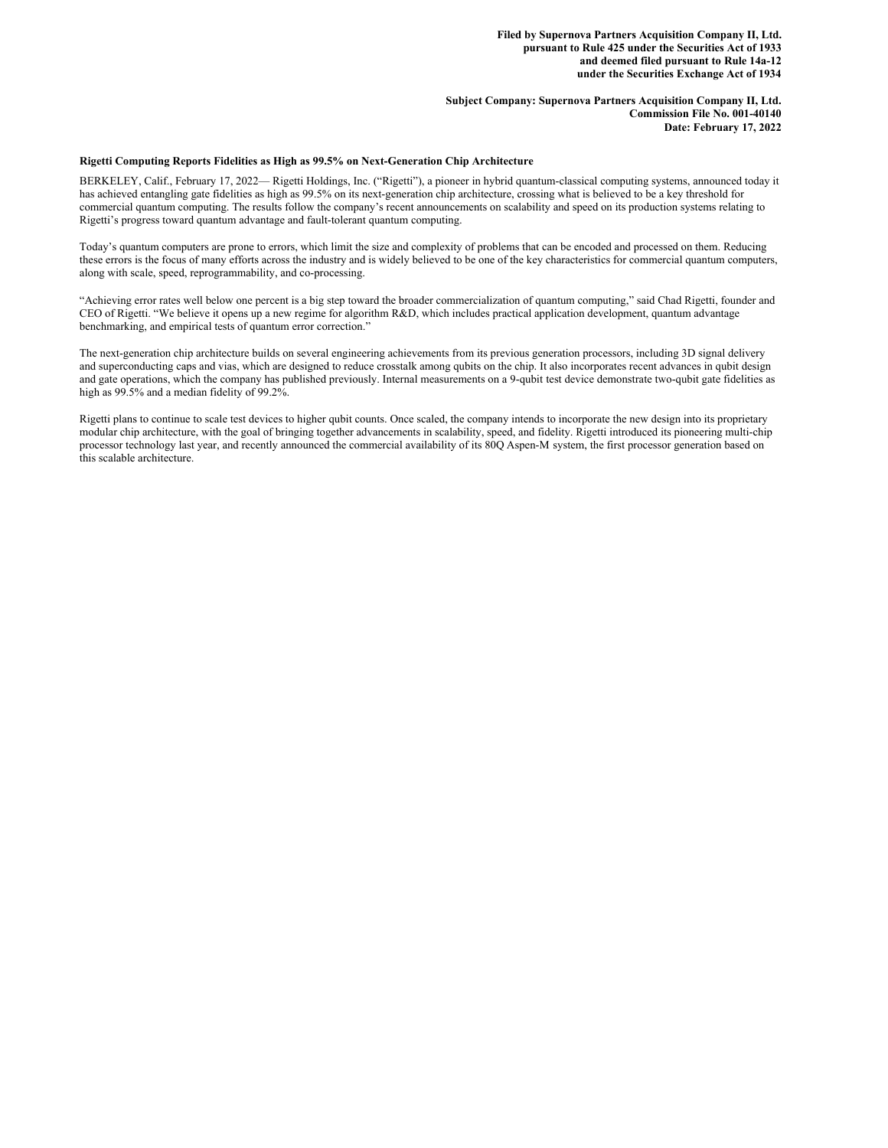**Subject Company: Supernova Partners Acquisition Company II, Ltd. Commission File No. 001-40140 Date: February 17, 2022**

# **Rigetti Computing Reports Fidelities as High as 99.5% on Next-Generation Chip Architecture**

BERKELEY, Calif., February 17, 2022— Rigetti Holdings, Inc. ("Rigetti"), a pioneer in hybrid quantum-classical computing systems, announced today it has achieved entangling gate fidelities as high as 99.5% on its next-generation chip architecture, crossing what is believed to be a key threshold for commercial quantum computing. The results follow the company's recent announcements on scalability and speed on its production systems relating to Rigetti's progress toward quantum advantage and fault-tolerant quantum computing.

Today's quantum computers are prone to errors, which limit the size and complexity of problems that can be encoded and processed on them. Reducing these errors is the focus of many efforts across the industry and is widely believed to be one of the key characteristics for commercial quantum computers, along with scale, speed, reprogrammability, and co-processing.

"Achieving error rates well below one percent is a big step toward the broader commercialization of quantum computing," said Chad Rigetti, founder and CEO of Rigetti. "We believe it opens up a new regime for algorithm R&D, which includes practical application development, quantum advantage benchmarking, and empirical tests of quantum error correction."

The next-generation chip architecture builds on several engineering achievements from its previous generation processors, including 3D signal delivery and superconducting caps and vias, which are designed to reduce crosstalk among qubits on the chip. It also incorporates recent advances in qubit design and gate operations, which the company has published previously. Internal measurements on a 9-qubit test device demonstrate two-qubit gate fidelities as high as 99.5% and a median fidelity of 99.2%.

Rigetti plans to continue to scale test devices to higher qubit counts. Once scaled, the company intends to incorporate the new design into its proprietary modular chip architecture, with the goal of bringing together advancements in scalability, speed, and fidelity. Rigetti introduced its pioneering multi-chip processor technology last year, and recently announced the commercial availability of its 80Q Aspen-M system, the first processor generation based on this scalable architecture.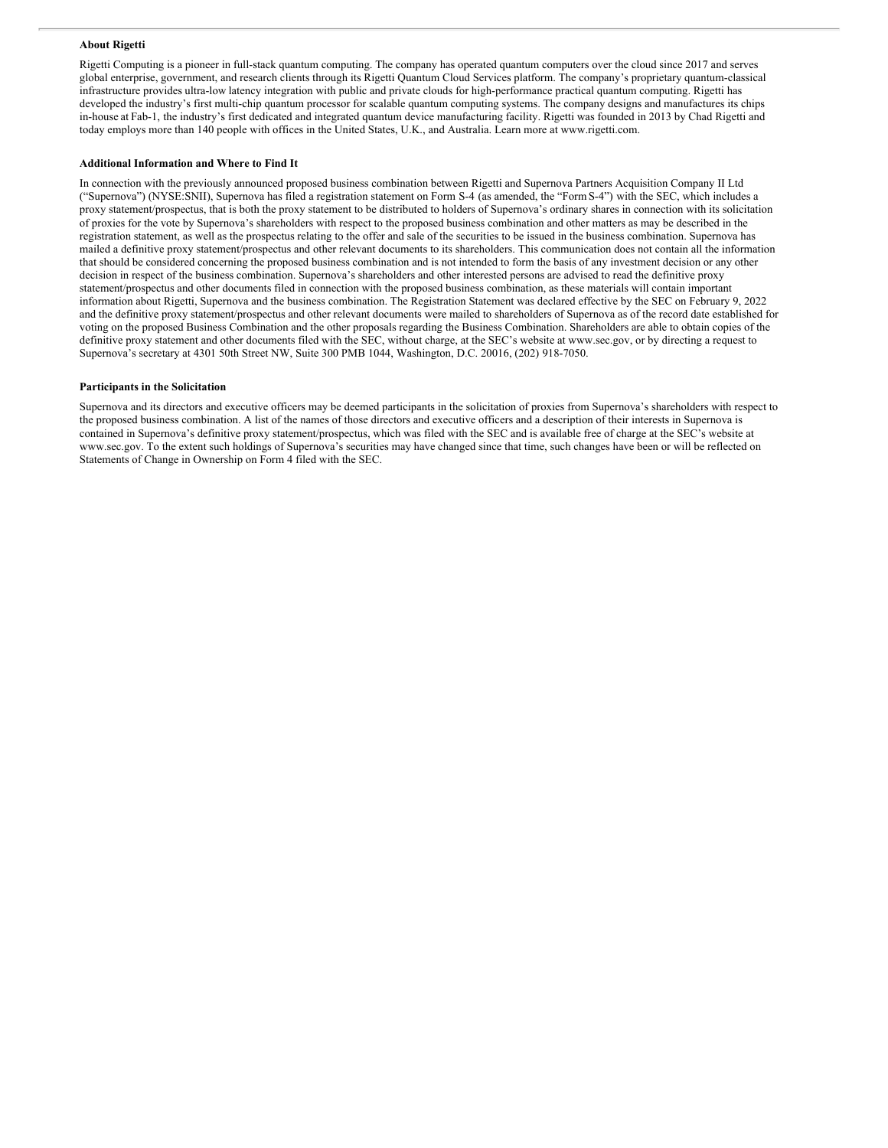### **About Rigetti**

Rigetti Computing is a pioneer in full-stack quantum computing. The company has operated quantum computers over the cloud since 2017 and serves global enterprise, government, and research clients through its Rigetti Quantum Cloud Services platform. The company's proprietary quantum-classical infrastructure provides ultra-low latency integration with public and private clouds for high-performance practical quantum computing. Rigetti has developed the industry's first multi-chip quantum processor for scalable quantum computing systems. The company designs and manufactures its chips in-house at Fab-1, the industry's first dedicated and integrated quantum device manufacturing facility. Rigetti was founded in 2013 by Chad Rigetti and today employs more than 140 people with offices in the United States, U.K., and Australia. Learn more at www.rigetti.com.

#### **Additional Information and Where to Find It**

In connection with the previously announced proposed business combination between Rigetti and Supernova Partners Acquisition Company II Ltd ("Supernova") (NYSE:SNII), Supernova has filed a registration statement on Form S-4 (as amended, the "FormS-4") with the SEC, which includes a proxy statement/prospectus, that is both the proxy statement to be distributed to holders of Supernova's ordinary shares in connection with its solicitation of proxies for the vote by Supernova's shareholders with respect to the proposed business combination and other matters as may be described in the registration statement, as well as the prospectus relating to the offer and sale of the securities to be issued in the business combination. Supernova has mailed a definitive proxy statement/prospectus and other relevant documents to its shareholders. This communication does not contain all the information that should be considered concerning the proposed business combination and is not intended to form the basis of any investment decision or any other decision in respect of the business combination. Supernova's shareholders and other interested persons are advised to read the definitive proxy statement/prospectus and other documents filed in connection with the proposed business combination, as these materials will contain important information about Rigetti, Supernova and the business combination. The Registration Statement was declared effective by the SEC on February 9, 2022 and the definitive proxy statement/prospectus and other relevant documents were mailed to shareholders of Supernova as of the record date established for voting on the proposed Business Combination and the other proposals regarding the Business Combination. Shareholders are able to obtain copies of the definitive proxy statement and other documents filed with the SEC, without charge, at the SEC's website at www.sec.gov, or by directing a request to Supernova's secretary at 4301 50th Street NW, Suite 300 PMB 1044, Washington, D.C. 20016, (202) 918-7050.

### **Participants in the Solicitation**

Supernova and its directors and executive officers may be deemed participants in the solicitation of proxies from Supernova's shareholders with respect to the proposed business combination. A list of the names of those directors and executive officers and a description of their interests in Supernova is contained in Supernova's definitive proxy statement/prospectus, which was filed with the SEC and is available free of charge at the SEC's website at www.sec.gov. To the extent such holdings of Supernova's securities may have changed since that time, such changes have been or will be reflected on Statements of Change in Ownership on Form 4 filed with the SEC.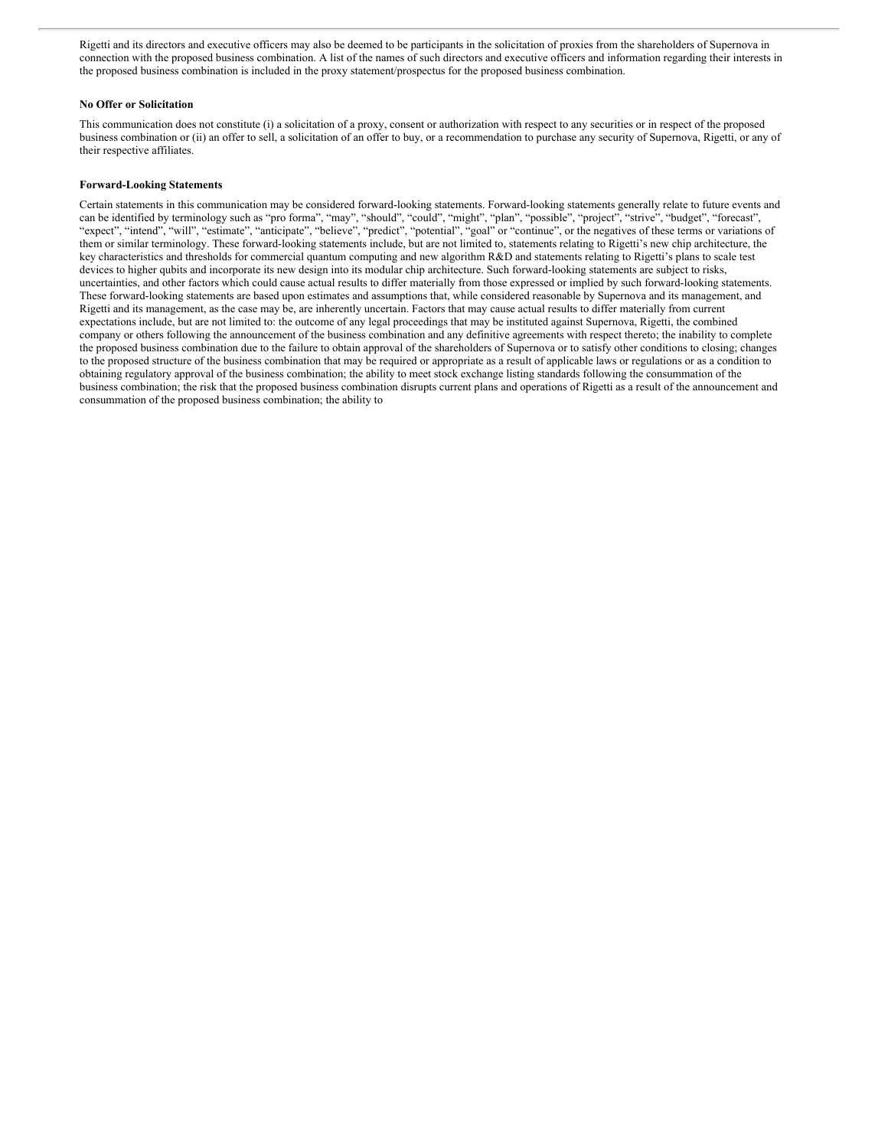Rigetti and its directors and executive officers may also be deemed to be participants in the solicitation of proxies from the shareholders of Supernova in connection with the proposed business combination. A list of the names of such directors and executive officers and information regarding their interests in the proposed business combination is included in the proxy statement/prospectus for the proposed business combination.

# **No Offer or Solicitation**

This communication does not constitute (i) a solicitation of a proxy, consent or authorization with respect to any securities or in respect of the proposed business combination or (ii) an offer to sell, a solicitation of an offer to buy, or a recommendation to purchase any security of Supernova, Rigetti, or any of their respective affiliates.

# **Forward-Looking Statements**

Certain statements in this communication may be considered forward-looking statements. Forward-looking statements generally relate to future events and can be identified by terminology such as "pro forma", "may", "should", "could", "might", "plan", "possible", "project", "strive", "budget", "forecast", "expect", "intend", "will", "estimate", "anticipate", "believe", "predict", "potential", "goal" or "continue", or the negatives of these terms or variations of them or similar terminology. These forward-looking statements include, but are not limited to, statements relating to Rigetti's new chip architecture, the key characteristics and thresholds for commercial quantum computing and new algorithm R&D and statements relating to Rigetti's plans to scale test devices to higher qubits and incorporate its new design into its modular chip architecture. Such forward-looking statements are subject to risks, uncertainties, and other factors which could cause actual results to differ materially from those expressed or implied by such forward-looking statements. These forward-looking statements are based upon estimates and assumptions that, while considered reasonable by Supernova and its management, and Rigetti and its management, as the case may be, are inherently uncertain. Factors that may cause actual results to differ materially from current expectations include, but are not limited to: the outcome of any legal proceedings that may be instituted against Supernova, Rigetti, the combined company or others following the announcement of the business combination and any definitive agreements with respect thereto; the inability to complete the proposed business combination due to the failure to obtain approval of the shareholders of Supernova or to satisfy other conditions to closing; changes to the proposed structure of the business combination that may be required or appropriate as a result of applicable laws or regulations or as a condition to obtaining regulatory approval of the business combination; the ability to meet stock exchange listing standards following the consummation of the business combination; the risk that the proposed business combination disrupts current plans and operations of Rigetti as a result of the announcement and consummation of the proposed business combination; the ability to